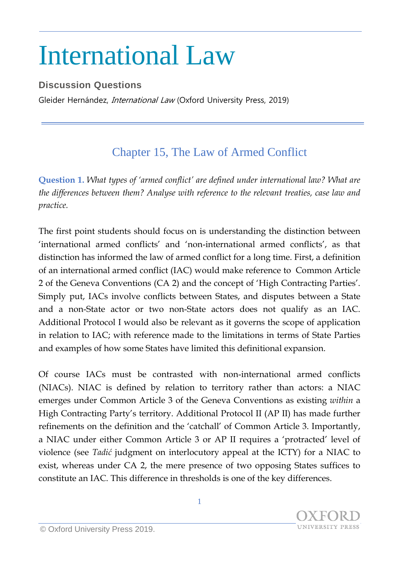## International Law

## **Discussion Questions**

Gleider Hernández, *International Law* (Oxford University Press, 2019)

## Chapter 15, The Law of Armed Conflict

**Question 1.** *What types of 'armed conflict' are defined under international law? What are the differences between them? Analyse with reference to the relevant treaties, case law and practice.*

The first point students should focus on is understanding the distinction between 'international armed conflicts' and 'non-international armed conflicts', as that distinction has informed the law of armed conflict for a long time. First, a definition of an international armed conflict (IAC) would make reference to Common Article 2 of the Geneva Conventions (CA 2) and the concept of 'High Contracting Parties'. Simply put, IACs involve conflicts between States, and disputes between a State and a non-State actor or two non-State actors does not qualify as an IAC. Additional Protocol I would also be relevant as it governs the scope of application in relation to IAC; with reference made to the limitations in terms of State Parties and examples of how some States have limited this definitional expansion.

Of course IACs must be contrasted with non-international armed conflicts (NIACs). NIAC is defined by relation to territory rather than actors: a NIAC emerges under Common Article 3 of the Geneva Conventions as existing *within* a High Contracting Party's territory. Additional Protocol II (AP II) has made further refinements on the definition and the 'catchall' of Common Article 3. Importantly, a NIAC under either Common Article 3 or AP II requires a 'protracted' level of violence (see *Tadić* judgment on interlocutory appeal at the ICTY) for a NIAC to exist, whereas under CA 2, the mere presence of two opposing States suffices to constitute an IAC. This difference in thresholds is one of the key differences.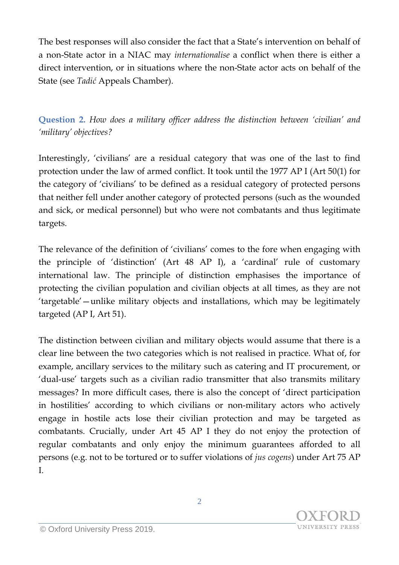The best responses will also consider the fact that a State's intervention on behalf of a non-State actor in a NIAC may *internationalise* a conflict when there is either a direct intervention, or in situations where the non-State actor acts on behalf of the State (see *Tadić* Appeals Chamber).

**Question 2.** *How does a military officer address the distinction between 'civilian' and 'military' objectives?*

Interestingly, 'civilians' are a residual category that was one of the last to find protection under the law of armed conflict. It took until the 1977 AP I (Art 50(1) for the category of 'civilians' to be defined as a residual category of protected persons that neither fell under another category of protected persons (such as the wounded and sick, or medical personnel) but who were not combatants and thus legitimate targets.

The relevance of the definition of 'civilians' comes to the fore when engaging with the principle of 'distinction' (Art 48 AP I), a 'cardinal' rule of customary international law. The principle of distinction emphasises the importance of protecting the civilian population and civilian objects at all times, as they are not 'targetable'—unlike military objects and installations, which may be legitimately targeted (AP I, Art 51).

The distinction between civilian and military objects would assume that there is a clear line between the two categories which is not realised in practice. What of, for example, ancillary services to the military such as catering and IT procurement, or 'dual-use' targets such as a civilian radio transmitter that also transmits military messages? In more difficult cases, there is also the concept of 'direct participation in hostilities' according to which civilians or non-military actors who actively engage in hostile acts lose their civilian protection and may be targeted as combatants. Crucially, under Art 45 AP I they do not enjoy the protection of regular combatants and only enjoy the minimum guarantees afforded to all persons (e.g. not to be tortured or to suffer violations of *jus cogens*) under Art 75 AP I.